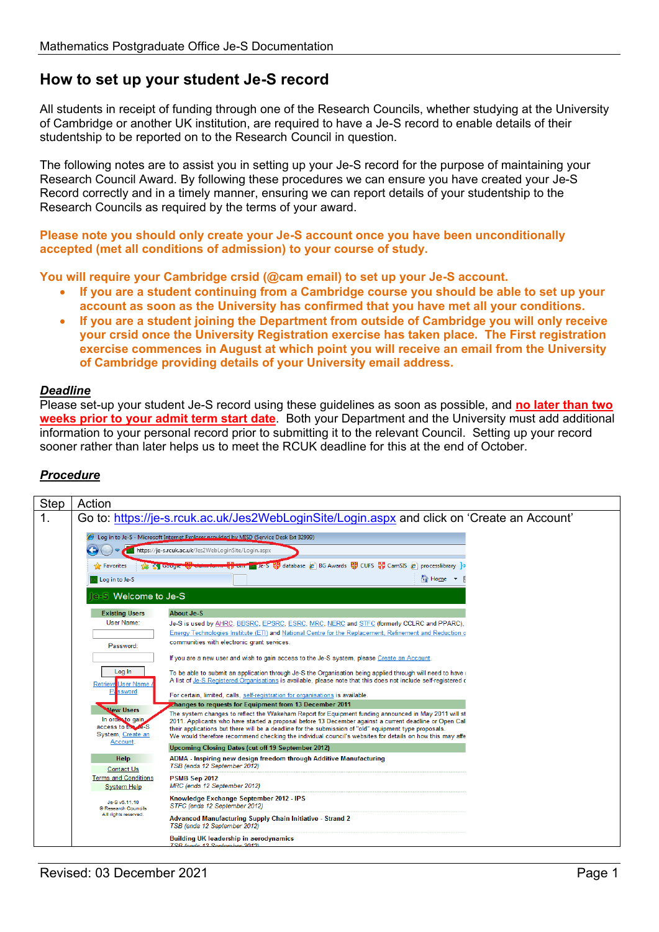## **How to set up your student Je-S record**

All students in receipt of funding through one of the Research Councils, whether studying at the University of Cambridge or another UK institution, are required to have a Je-S record to enable details of their studentship to be reported on to the Research Council in question.

The following notes are to assist you in setting up your Je-S record for the purpose of maintaining your Research Council Award. By following these procedures we can ensure you have created your Je-S Record correctly and in a timely manner, ensuring we can report details of your studentship to the Research Councils as required by the terms of your award.

**Please note you should only create your Je-S account once you have been unconditionally accepted (met all conditions of admission) to your course of study.** 

**You will require your Cambridge crsid (@cam email) to set up your Je-S account.** 

- **If you are a student continuing from a Cambridge course you should be able to set up your account as soon as the University has confirmed that you have met all your conditions.**
- **If you are a student joining the Department from outside of Cambridge you will only receive your crsid once the University Registration exercise has taken place. The First registration exercise commences in August at which point you will receive an email from the University of Cambridge providing details of your University email address.**

## *Deadline*

Please set-up your student Je-S record using these guidelines as soon as possible, and **no later than two weeks prior to your admit term start date**. Both your Department and the University must add additional information to your personal record prior to submitting it to the relevant Council. Setting up your record sooner rather than later helps us to meet the RCUK deadline for this at the end of October.

## *Procedure*

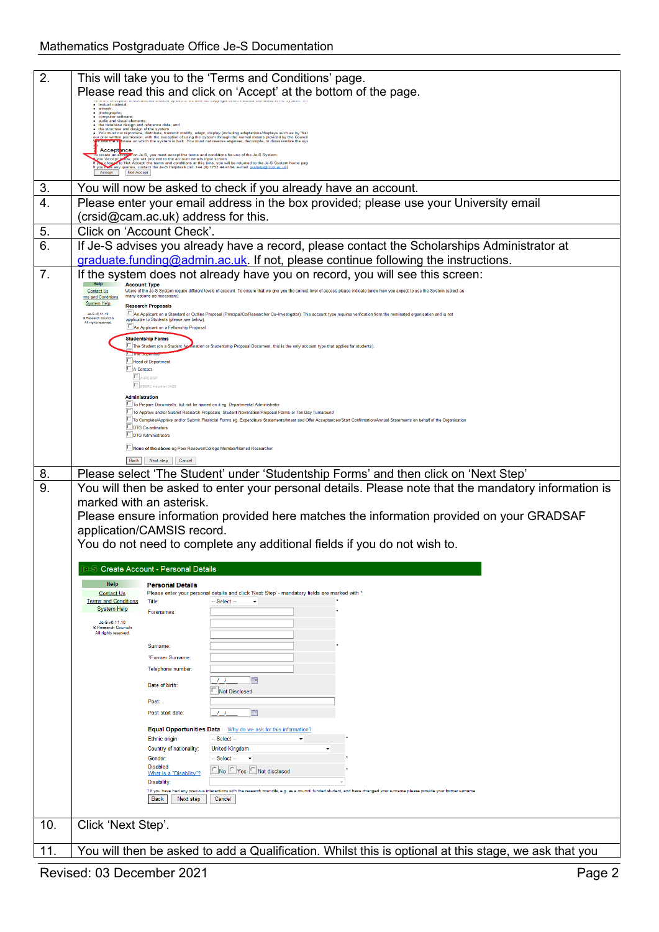| 2.<br>This will take you to the 'Terms and Conditions' page.<br>Please read this and click on 'Accept' at the bottom of the page.<br>· textual material<br>· artwork;<br>• photographs;<br>• computer software;<br>· audio and visual elements<br>the database design and reference data; and<br>the structure and design of the system.<br>You must not reproduce, distribute, transmit modify, adapt, display (including adaptations/displays such as by "fra<br>prior written permission, with the exception of using the system through the normal means provided by the Counci<br>ne sy <mark>f</mark> tware on which the system is built. You must not reverse engineer, decompile, or disassemble the sys<br><b>Accept</b> ance<br>C create an accorded to the S, you must accept the terms and conditions for use of the Je-S System.<br>You Accept <mark>an env</mark> , you will proceed to the account details input screen.<br>You Accept <mark>an</mark> env, you will proceed to the<br>Not Accept<br>Accept<br>You will now be asked to check if you already have an account.<br>3.<br>Please enter your email address in the box provided; please use your University email<br>$\overline{4}$ .<br>(crsid@cam.ac.uk) address for this.<br>5.<br>Click on 'Account Check'<br>6.<br>If Je-S advises you already have a record, please contact the Scholarships Administrator at<br>graduate.funding@admin.ac.uk. If not, please continue following the instructions.<br>7.<br>If the system does not already have you on record, you will see this screen:<br><b>Account Type</b><br>Users of the Je-S System require different levels of account. To ensure that we give you the correct level of access please indicate below how you expect to use the System (select as<br>Contact Us<br>many options as necessary):<br>rms and Conditions<br><b>System Help</b><br><b>Research Proposals</b><br>An Applicant on a Standard or Outline Proposal (Principal/Co/Researcher Co-Investigator). This account type requires verification from the nominated organisation and is not<br>Je-S v6.11.10<br>® Research Councils<br>applicable to Students (please see below)<br>All rights reserved<br>An Applicant on a Fellowship Proposal<br><b>Studentship Forms</b><br>The Student (on a Student<br>ination or Studentship Proposal Document, this is the only account type that applies for students)<br>Head of Department<br>A Contact<br>AHRC BGF<br><b>BBSRC</b> Industrial CASI<br><b>Administration</b><br>To Prepare Documents, but not be named on it eg. Departmental Administrator<br>To Approve and/or Submit Research Proposals, Student Nomination/Proposal Forms or Ten Day Turnaround<br>To Complete/Approve and/or Submit Financial Forms eg. Expenditure Statements/Intent and Offer Acceptances/Start Confirmation/Annual Statements on behalf of the Organisation<br>DTG Co-ordinators<br>DTG Administrators<br>None of the above eg Peer Reviewer/College Member/Named Researche<br>Back<br>Next step<br>Cancel<br>Please select 'The Student' under 'Studentship Forms' and then click on 'Next Step'<br>8.<br>9.<br>You will then be asked to enter your personal details. Please note that the mandatory information is<br>marked with an asterisk.<br>Please ensure information provided here matches the information provided on your GRADSAF<br>application/CAMSIS record.<br>You do not need to complete any additional fields if you do not wish to.<br>e-S Create Account - Personal Details<br>Help<br><b>Personal Details</b><br>Please enter your personal details and click 'Next Step' - mandatory fields are marked with *<br><b>Contact Us</b><br><b>Terms and Conditions</b><br>$-$ Select $-$<br>Title:<br>$\overline{\phantom{a}}$<br><b>System Help</b><br>Forenames:<br>Je-S v5.11.10<br>® Research Councils<br>All rights reserved.<br>Sumame:<br><sup>1</sup> Former Surname<br>Telephone number:<br>画<br>$\prime$ $\prime$<br>Date of birth:<br>Not Disclosed<br>Post:<br>Post start date:<br><b>THE</b><br><b>Equal Opportunities Data</b><br>Why do we ask for this information?<br>Ethnic origin:<br>-- Select --<br>Country of nationality:<br><b>United Kingdom</b><br>$-$ Select $-$<br>Gender:<br>Disabled:<br>No Yes Not disclosed<br>What is a "Disability"?<br>Disability:<br><sup>1</sup> If you have had any previous interactions with the research councils, e.g. as a council funded student, and have changed your surname please provide your former surname<br><b>Back</b><br>Next step<br>Cancel<br>10.<br>Click 'Next Step'.<br>You will then be asked to add a Qualification. Whilst this is optional at this stage, we ask that you<br>11. |  |
|----------------------------------------------------------------------------------------------------------------------------------------------------------------------------------------------------------------------------------------------------------------------------------------------------------------------------------------------------------------------------------------------------------------------------------------------------------------------------------------------------------------------------------------------------------------------------------------------------------------------------------------------------------------------------------------------------------------------------------------------------------------------------------------------------------------------------------------------------------------------------------------------------------------------------------------------------------------------------------------------------------------------------------------------------------------------------------------------------------------------------------------------------------------------------------------------------------------------------------------------------------------------------------------------------------------------------------------------------------------------------------------------------------------------------------------------------------------------------------------------------------------------------------------------------------------------------------------------------------------------------------------------------------------------------------------------------------------------------------------------------------------------------------------------------------------------------------------------------------------------------------------------------------------------------------------------------------------------------------------------------------------------------------------------------------------------------------------------------------------------------------------------------------------------------------------------------------------------------------------------------------------------------------------------------------------------------------------------------------------------------------------------------------------------------------------------------------------------------------------------------------------------------------------------------------------------------------------------------------------------------------------------------------------------------------------------------------------------------------------------------------------------------------------------------------------------------------------------------------------------------------------------------------------------------------------------------------------------------------------------------------------------------------------------------------------------------------------------------------------------------------------------------------------------------------------------------------------------------------------------------------------------------------------------------------------------------------------------------------------------------------------------------------------------------------------------------------------------------------------------------------------------------------------------------------------------------------------------------------------------------------------------------------------------------------------------------------------------------------------------------------------------------------------------------------------------------------------------------------------------------------------------------------------------------------------------------------------------------------------------------------------------------------------------------------------------------------------------------------------------------------------------------------------------------------------------------------------------------------------------------------------------------------------------------------------------------------------------------------------------------------------------------------------------------------------------------------------------------------------------------------------------------------------------------------------------------------------------------------------------------------------------------------------------------------------------------------------------------|--|
|                                                                                                                                                                                                                                                                                                                                                                                                                                                                                                                                                                                                                                                                                                                                                                                                                                                                                                                                                                                                                                                                                                                                                                                                                                                                                                                                                                                                                                                                                                                                                                                                                                                                                                                                                                                                                                                                                                                                                                                                                                                                                                                                                                                                                                                                                                                                                                                                                                                                                                                                                                                                                                                                                                                                                                                                                                                                                                                                                                                                                                                                                                                                                                                                                                                                                                                                                                                                                                                                                                                                                                                                                                                                                                                                                                                                                                                                                                                                                                                                                                                                                                                                                                                                                                                                                                                                                                                                                                                                                                                                                                                                                                                                                                                            |  |
|                                                                                                                                                                                                                                                                                                                                                                                                                                                                                                                                                                                                                                                                                                                                                                                                                                                                                                                                                                                                                                                                                                                                                                                                                                                                                                                                                                                                                                                                                                                                                                                                                                                                                                                                                                                                                                                                                                                                                                                                                                                                                                                                                                                                                                                                                                                                                                                                                                                                                                                                                                                                                                                                                                                                                                                                                                                                                                                                                                                                                                                                                                                                                                                                                                                                                                                                                                                                                                                                                                                                                                                                                                                                                                                                                                                                                                                                                                                                                                                                                                                                                                                                                                                                                                                                                                                                                                                                                                                                                                                                                                                                                                                                                                                            |  |
|                                                                                                                                                                                                                                                                                                                                                                                                                                                                                                                                                                                                                                                                                                                                                                                                                                                                                                                                                                                                                                                                                                                                                                                                                                                                                                                                                                                                                                                                                                                                                                                                                                                                                                                                                                                                                                                                                                                                                                                                                                                                                                                                                                                                                                                                                                                                                                                                                                                                                                                                                                                                                                                                                                                                                                                                                                                                                                                                                                                                                                                                                                                                                                                                                                                                                                                                                                                                                                                                                                                                                                                                                                                                                                                                                                                                                                                                                                                                                                                                                                                                                                                                                                                                                                                                                                                                                                                                                                                                                                                                                                                                                                                                                                                            |  |
|                                                                                                                                                                                                                                                                                                                                                                                                                                                                                                                                                                                                                                                                                                                                                                                                                                                                                                                                                                                                                                                                                                                                                                                                                                                                                                                                                                                                                                                                                                                                                                                                                                                                                                                                                                                                                                                                                                                                                                                                                                                                                                                                                                                                                                                                                                                                                                                                                                                                                                                                                                                                                                                                                                                                                                                                                                                                                                                                                                                                                                                                                                                                                                                                                                                                                                                                                                                                                                                                                                                                                                                                                                                                                                                                                                                                                                                                                                                                                                                                                                                                                                                                                                                                                                                                                                                                                                                                                                                                                                                                                                                                                                                                                                                            |  |
|                                                                                                                                                                                                                                                                                                                                                                                                                                                                                                                                                                                                                                                                                                                                                                                                                                                                                                                                                                                                                                                                                                                                                                                                                                                                                                                                                                                                                                                                                                                                                                                                                                                                                                                                                                                                                                                                                                                                                                                                                                                                                                                                                                                                                                                                                                                                                                                                                                                                                                                                                                                                                                                                                                                                                                                                                                                                                                                                                                                                                                                                                                                                                                                                                                                                                                                                                                                                                                                                                                                                                                                                                                                                                                                                                                                                                                                                                                                                                                                                                                                                                                                                                                                                                                                                                                                                                                                                                                                                                                                                                                                                                                                                                                                            |  |
|                                                                                                                                                                                                                                                                                                                                                                                                                                                                                                                                                                                                                                                                                                                                                                                                                                                                                                                                                                                                                                                                                                                                                                                                                                                                                                                                                                                                                                                                                                                                                                                                                                                                                                                                                                                                                                                                                                                                                                                                                                                                                                                                                                                                                                                                                                                                                                                                                                                                                                                                                                                                                                                                                                                                                                                                                                                                                                                                                                                                                                                                                                                                                                                                                                                                                                                                                                                                                                                                                                                                                                                                                                                                                                                                                                                                                                                                                                                                                                                                                                                                                                                                                                                                                                                                                                                                                                                                                                                                                                                                                                                                                                                                                                                            |  |
|                                                                                                                                                                                                                                                                                                                                                                                                                                                                                                                                                                                                                                                                                                                                                                                                                                                                                                                                                                                                                                                                                                                                                                                                                                                                                                                                                                                                                                                                                                                                                                                                                                                                                                                                                                                                                                                                                                                                                                                                                                                                                                                                                                                                                                                                                                                                                                                                                                                                                                                                                                                                                                                                                                                                                                                                                                                                                                                                                                                                                                                                                                                                                                                                                                                                                                                                                                                                                                                                                                                                                                                                                                                                                                                                                                                                                                                                                                                                                                                                                                                                                                                                                                                                                                                                                                                                                                                                                                                                                                                                                                                                                                                                                                                            |  |
|                                                                                                                                                                                                                                                                                                                                                                                                                                                                                                                                                                                                                                                                                                                                                                                                                                                                                                                                                                                                                                                                                                                                                                                                                                                                                                                                                                                                                                                                                                                                                                                                                                                                                                                                                                                                                                                                                                                                                                                                                                                                                                                                                                                                                                                                                                                                                                                                                                                                                                                                                                                                                                                                                                                                                                                                                                                                                                                                                                                                                                                                                                                                                                                                                                                                                                                                                                                                                                                                                                                                                                                                                                                                                                                                                                                                                                                                                                                                                                                                                                                                                                                                                                                                                                                                                                                                                                                                                                                                                                                                                                                                                                                                                                                            |  |
|                                                                                                                                                                                                                                                                                                                                                                                                                                                                                                                                                                                                                                                                                                                                                                                                                                                                                                                                                                                                                                                                                                                                                                                                                                                                                                                                                                                                                                                                                                                                                                                                                                                                                                                                                                                                                                                                                                                                                                                                                                                                                                                                                                                                                                                                                                                                                                                                                                                                                                                                                                                                                                                                                                                                                                                                                                                                                                                                                                                                                                                                                                                                                                                                                                                                                                                                                                                                                                                                                                                                                                                                                                                                                                                                                                                                                                                                                                                                                                                                                                                                                                                                                                                                                                                                                                                                                                                                                                                                                                                                                                                                                                                                                                                            |  |
|                                                                                                                                                                                                                                                                                                                                                                                                                                                                                                                                                                                                                                                                                                                                                                                                                                                                                                                                                                                                                                                                                                                                                                                                                                                                                                                                                                                                                                                                                                                                                                                                                                                                                                                                                                                                                                                                                                                                                                                                                                                                                                                                                                                                                                                                                                                                                                                                                                                                                                                                                                                                                                                                                                                                                                                                                                                                                                                                                                                                                                                                                                                                                                                                                                                                                                                                                                                                                                                                                                                                                                                                                                                                                                                                                                                                                                                                                                                                                                                                                                                                                                                                                                                                                                                                                                                                                                                                                                                                                                                                                                                                                                                                                                                            |  |
|                                                                                                                                                                                                                                                                                                                                                                                                                                                                                                                                                                                                                                                                                                                                                                                                                                                                                                                                                                                                                                                                                                                                                                                                                                                                                                                                                                                                                                                                                                                                                                                                                                                                                                                                                                                                                                                                                                                                                                                                                                                                                                                                                                                                                                                                                                                                                                                                                                                                                                                                                                                                                                                                                                                                                                                                                                                                                                                                                                                                                                                                                                                                                                                                                                                                                                                                                                                                                                                                                                                                                                                                                                                                                                                                                                                                                                                                                                                                                                                                                                                                                                                                                                                                                                                                                                                                                                                                                                                                                                                                                                                                                                                                                                                            |  |
|                                                                                                                                                                                                                                                                                                                                                                                                                                                                                                                                                                                                                                                                                                                                                                                                                                                                                                                                                                                                                                                                                                                                                                                                                                                                                                                                                                                                                                                                                                                                                                                                                                                                                                                                                                                                                                                                                                                                                                                                                                                                                                                                                                                                                                                                                                                                                                                                                                                                                                                                                                                                                                                                                                                                                                                                                                                                                                                                                                                                                                                                                                                                                                                                                                                                                                                                                                                                                                                                                                                                                                                                                                                                                                                                                                                                                                                                                                                                                                                                                                                                                                                                                                                                                                                                                                                                                                                                                                                                                                                                                                                                                                                                                                                            |  |
|                                                                                                                                                                                                                                                                                                                                                                                                                                                                                                                                                                                                                                                                                                                                                                                                                                                                                                                                                                                                                                                                                                                                                                                                                                                                                                                                                                                                                                                                                                                                                                                                                                                                                                                                                                                                                                                                                                                                                                                                                                                                                                                                                                                                                                                                                                                                                                                                                                                                                                                                                                                                                                                                                                                                                                                                                                                                                                                                                                                                                                                                                                                                                                                                                                                                                                                                                                                                                                                                                                                                                                                                                                                                                                                                                                                                                                                                                                                                                                                                                                                                                                                                                                                                                                                                                                                                                                                                                                                                                                                                                                                                                                                                                                                            |  |
|                                                                                                                                                                                                                                                                                                                                                                                                                                                                                                                                                                                                                                                                                                                                                                                                                                                                                                                                                                                                                                                                                                                                                                                                                                                                                                                                                                                                                                                                                                                                                                                                                                                                                                                                                                                                                                                                                                                                                                                                                                                                                                                                                                                                                                                                                                                                                                                                                                                                                                                                                                                                                                                                                                                                                                                                                                                                                                                                                                                                                                                                                                                                                                                                                                                                                                                                                                                                                                                                                                                                                                                                                                                                                                                                                                                                                                                                                                                                                                                                                                                                                                                                                                                                                                                                                                                                                                                                                                                                                                                                                                                                                                                                                                                            |  |
|                                                                                                                                                                                                                                                                                                                                                                                                                                                                                                                                                                                                                                                                                                                                                                                                                                                                                                                                                                                                                                                                                                                                                                                                                                                                                                                                                                                                                                                                                                                                                                                                                                                                                                                                                                                                                                                                                                                                                                                                                                                                                                                                                                                                                                                                                                                                                                                                                                                                                                                                                                                                                                                                                                                                                                                                                                                                                                                                                                                                                                                                                                                                                                                                                                                                                                                                                                                                                                                                                                                                                                                                                                                                                                                                                                                                                                                                                                                                                                                                                                                                                                                                                                                                                                                                                                                                                                                                                                                                                                                                                                                                                                                                                                                            |  |
|                                                                                                                                                                                                                                                                                                                                                                                                                                                                                                                                                                                                                                                                                                                                                                                                                                                                                                                                                                                                                                                                                                                                                                                                                                                                                                                                                                                                                                                                                                                                                                                                                                                                                                                                                                                                                                                                                                                                                                                                                                                                                                                                                                                                                                                                                                                                                                                                                                                                                                                                                                                                                                                                                                                                                                                                                                                                                                                                                                                                                                                                                                                                                                                                                                                                                                                                                                                                                                                                                                                                                                                                                                                                                                                                                                                                                                                                                                                                                                                                                                                                                                                                                                                                                                                                                                                                                                                                                                                                                                                                                                                                                                                                                                                            |  |
|                                                                                                                                                                                                                                                                                                                                                                                                                                                                                                                                                                                                                                                                                                                                                                                                                                                                                                                                                                                                                                                                                                                                                                                                                                                                                                                                                                                                                                                                                                                                                                                                                                                                                                                                                                                                                                                                                                                                                                                                                                                                                                                                                                                                                                                                                                                                                                                                                                                                                                                                                                                                                                                                                                                                                                                                                                                                                                                                                                                                                                                                                                                                                                                                                                                                                                                                                                                                                                                                                                                                                                                                                                                                                                                                                                                                                                                                                                                                                                                                                                                                                                                                                                                                                                                                                                                                                                                                                                                                                                                                                                                                                                                                                                                            |  |
|                                                                                                                                                                                                                                                                                                                                                                                                                                                                                                                                                                                                                                                                                                                                                                                                                                                                                                                                                                                                                                                                                                                                                                                                                                                                                                                                                                                                                                                                                                                                                                                                                                                                                                                                                                                                                                                                                                                                                                                                                                                                                                                                                                                                                                                                                                                                                                                                                                                                                                                                                                                                                                                                                                                                                                                                                                                                                                                                                                                                                                                                                                                                                                                                                                                                                                                                                                                                                                                                                                                                                                                                                                                                                                                                                                                                                                                                                                                                                                                                                                                                                                                                                                                                                                                                                                                                                                                                                                                                                                                                                                                                                                                                                                                            |  |
|                                                                                                                                                                                                                                                                                                                                                                                                                                                                                                                                                                                                                                                                                                                                                                                                                                                                                                                                                                                                                                                                                                                                                                                                                                                                                                                                                                                                                                                                                                                                                                                                                                                                                                                                                                                                                                                                                                                                                                                                                                                                                                                                                                                                                                                                                                                                                                                                                                                                                                                                                                                                                                                                                                                                                                                                                                                                                                                                                                                                                                                                                                                                                                                                                                                                                                                                                                                                                                                                                                                                                                                                                                                                                                                                                                                                                                                                                                                                                                                                                                                                                                                                                                                                                                                                                                                                                                                                                                                                                                                                                                                                                                                                                                                            |  |
|                                                                                                                                                                                                                                                                                                                                                                                                                                                                                                                                                                                                                                                                                                                                                                                                                                                                                                                                                                                                                                                                                                                                                                                                                                                                                                                                                                                                                                                                                                                                                                                                                                                                                                                                                                                                                                                                                                                                                                                                                                                                                                                                                                                                                                                                                                                                                                                                                                                                                                                                                                                                                                                                                                                                                                                                                                                                                                                                                                                                                                                                                                                                                                                                                                                                                                                                                                                                                                                                                                                                                                                                                                                                                                                                                                                                                                                                                                                                                                                                                                                                                                                                                                                                                                                                                                                                                                                                                                                                                                                                                                                                                                                                                                                            |  |
|                                                                                                                                                                                                                                                                                                                                                                                                                                                                                                                                                                                                                                                                                                                                                                                                                                                                                                                                                                                                                                                                                                                                                                                                                                                                                                                                                                                                                                                                                                                                                                                                                                                                                                                                                                                                                                                                                                                                                                                                                                                                                                                                                                                                                                                                                                                                                                                                                                                                                                                                                                                                                                                                                                                                                                                                                                                                                                                                                                                                                                                                                                                                                                                                                                                                                                                                                                                                                                                                                                                                                                                                                                                                                                                                                                                                                                                                                                                                                                                                                                                                                                                                                                                                                                                                                                                                                                                                                                                                                                                                                                                                                                                                                                                            |  |
|                                                                                                                                                                                                                                                                                                                                                                                                                                                                                                                                                                                                                                                                                                                                                                                                                                                                                                                                                                                                                                                                                                                                                                                                                                                                                                                                                                                                                                                                                                                                                                                                                                                                                                                                                                                                                                                                                                                                                                                                                                                                                                                                                                                                                                                                                                                                                                                                                                                                                                                                                                                                                                                                                                                                                                                                                                                                                                                                                                                                                                                                                                                                                                                                                                                                                                                                                                                                                                                                                                                                                                                                                                                                                                                                                                                                                                                                                                                                                                                                                                                                                                                                                                                                                                                                                                                                                                                                                                                                                                                                                                                                                                                                                                                            |  |
|                                                                                                                                                                                                                                                                                                                                                                                                                                                                                                                                                                                                                                                                                                                                                                                                                                                                                                                                                                                                                                                                                                                                                                                                                                                                                                                                                                                                                                                                                                                                                                                                                                                                                                                                                                                                                                                                                                                                                                                                                                                                                                                                                                                                                                                                                                                                                                                                                                                                                                                                                                                                                                                                                                                                                                                                                                                                                                                                                                                                                                                                                                                                                                                                                                                                                                                                                                                                                                                                                                                                                                                                                                                                                                                                                                                                                                                                                                                                                                                                                                                                                                                                                                                                                                                                                                                                                                                                                                                                                                                                                                                                                                                                                                                            |  |
|                                                                                                                                                                                                                                                                                                                                                                                                                                                                                                                                                                                                                                                                                                                                                                                                                                                                                                                                                                                                                                                                                                                                                                                                                                                                                                                                                                                                                                                                                                                                                                                                                                                                                                                                                                                                                                                                                                                                                                                                                                                                                                                                                                                                                                                                                                                                                                                                                                                                                                                                                                                                                                                                                                                                                                                                                                                                                                                                                                                                                                                                                                                                                                                                                                                                                                                                                                                                                                                                                                                                                                                                                                                                                                                                                                                                                                                                                                                                                                                                                                                                                                                                                                                                                                                                                                                                                                                                                                                                                                                                                                                                                                                                                                                            |  |
|                                                                                                                                                                                                                                                                                                                                                                                                                                                                                                                                                                                                                                                                                                                                                                                                                                                                                                                                                                                                                                                                                                                                                                                                                                                                                                                                                                                                                                                                                                                                                                                                                                                                                                                                                                                                                                                                                                                                                                                                                                                                                                                                                                                                                                                                                                                                                                                                                                                                                                                                                                                                                                                                                                                                                                                                                                                                                                                                                                                                                                                                                                                                                                                                                                                                                                                                                                                                                                                                                                                                                                                                                                                                                                                                                                                                                                                                                                                                                                                                                                                                                                                                                                                                                                                                                                                                                                                                                                                                                                                                                                                                                                                                                                                            |  |
|                                                                                                                                                                                                                                                                                                                                                                                                                                                                                                                                                                                                                                                                                                                                                                                                                                                                                                                                                                                                                                                                                                                                                                                                                                                                                                                                                                                                                                                                                                                                                                                                                                                                                                                                                                                                                                                                                                                                                                                                                                                                                                                                                                                                                                                                                                                                                                                                                                                                                                                                                                                                                                                                                                                                                                                                                                                                                                                                                                                                                                                                                                                                                                                                                                                                                                                                                                                                                                                                                                                                                                                                                                                                                                                                                                                                                                                                                                                                                                                                                                                                                                                                                                                                                                                                                                                                                                                                                                                                                                                                                                                                                                                                                                                            |  |
|                                                                                                                                                                                                                                                                                                                                                                                                                                                                                                                                                                                                                                                                                                                                                                                                                                                                                                                                                                                                                                                                                                                                                                                                                                                                                                                                                                                                                                                                                                                                                                                                                                                                                                                                                                                                                                                                                                                                                                                                                                                                                                                                                                                                                                                                                                                                                                                                                                                                                                                                                                                                                                                                                                                                                                                                                                                                                                                                                                                                                                                                                                                                                                                                                                                                                                                                                                                                                                                                                                                                                                                                                                                                                                                                                                                                                                                                                                                                                                                                                                                                                                                                                                                                                                                                                                                                                                                                                                                                                                                                                                                                                                                                                                                            |  |
|                                                                                                                                                                                                                                                                                                                                                                                                                                                                                                                                                                                                                                                                                                                                                                                                                                                                                                                                                                                                                                                                                                                                                                                                                                                                                                                                                                                                                                                                                                                                                                                                                                                                                                                                                                                                                                                                                                                                                                                                                                                                                                                                                                                                                                                                                                                                                                                                                                                                                                                                                                                                                                                                                                                                                                                                                                                                                                                                                                                                                                                                                                                                                                                                                                                                                                                                                                                                                                                                                                                                                                                                                                                                                                                                                                                                                                                                                                                                                                                                                                                                                                                                                                                                                                                                                                                                                                                                                                                                                                                                                                                                                                                                                                                            |  |
|                                                                                                                                                                                                                                                                                                                                                                                                                                                                                                                                                                                                                                                                                                                                                                                                                                                                                                                                                                                                                                                                                                                                                                                                                                                                                                                                                                                                                                                                                                                                                                                                                                                                                                                                                                                                                                                                                                                                                                                                                                                                                                                                                                                                                                                                                                                                                                                                                                                                                                                                                                                                                                                                                                                                                                                                                                                                                                                                                                                                                                                                                                                                                                                                                                                                                                                                                                                                                                                                                                                                                                                                                                                                                                                                                                                                                                                                                                                                                                                                                                                                                                                                                                                                                                                                                                                                                                                                                                                                                                                                                                                                                                                                                                                            |  |
|                                                                                                                                                                                                                                                                                                                                                                                                                                                                                                                                                                                                                                                                                                                                                                                                                                                                                                                                                                                                                                                                                                                                                                                                                                                                                                                                                                                                                                                                                                                                                                                                                                                                                                                                                                                                                                                                                                                                                                                                                                                                                                                                                                                                                                                                                                                                                                                                                                                                                                                                                                                                                                                                                                                                                                                                                                                                                                                                                                                                                                                                                                                                                                                                                                                                                                                                                                                                                                                                                                                                                                                                                                                                                                                                                                                                                                                                                                                                                                                                                                                                                                                                                                                                                                                                                                                                                                                                                                                                                                                                                                                                                                                                                                                            |  |
|                                                                                                                                                                                                                                                                                                                                                                                                                                                                                                                                                                                                                                                                                                                                                                                                                                                                                                                                                                                                                                                                                                                                                                                                                                                                                                                                                                                                                                                                                                                                                                                                                                                                                                                                                                                                                                                                                                                                                                                                                                                                                                                                                                                                                                                                                                                                                                                                                                                                                                                                                                                                                                                                                                                                                                                                                                                                                                                                                                                                                                                                                                                                                                                                                                                                                                                                                                                                                                                                                                                                                                                                                                                                                                                                                                                                                                                                                                                                                                                                                                                                                                                                                                                                                                                                                                                                                                                                                                                                                                                                                                                                                                                                                                                            |  |
|                                                                                                                                                                                                                                                                                                                                                                                                                                                                                                                                                                                                                                                                                                                                                                                                                                                                                                                                                                                                                                                                                                                                                                                                                                                                                                                                                                                                                                                                                                                                                                                                                                                                                                                                                                                                                                                                                                                                                                                                                                                                                                                                                                                                                                                                                                                                                                                                                                                                                                                                                                                                                                                                                                                                                                                                                                                                                                                                                                                                                                                                                                                                                                                                                                                                                                                                                                                                                                                                                                                                                                                                                                                                                                                                                                                                                                                                                                                                                                                                                                                                                                                                                                                                                                                                                                                                                                                                                                                                                                                                                                                                                                                                                                                            |  |
|                                                                                                                                                                                                                                                                                                                                                                                                                                                                                                                                                                                                                                                                                                                                                                                                                                                                                                                                                                                                                                                                                                                                                                                                                                                                                                                                                                                                                                                                                                                                                                                                                                                                                                                                                                                                                                                                                                                                                                                                                                                                                                                                                                                                                                                                                                                                                                                                                                                                                                                                                                                                                                                                                                                                                                                                                                                                                                                                                                                                                                                                                                                                                                                                                                                                                                                                                                                                                                                                                                                                                                                                                                                                                                                                                                                                                                                                                                                                                                                                                                                                                                                                                                                                                                                                                                                                                                                                                                                                                                                                                                                                                                                                                                                            |  |
|                                                                                                                                                                                                                                                                                                                                                                                                                                                                                                                                                                                                                                                                                                                                                                                                                                                                                                                                                                                                                                                                                                                                                                                                                                                                                                                                                                                                                                                                                                                                                                                                                                                                                                                                                                                                                                                                                                                                                                                                                                                                                                                                                                                                                                                                                                                                                                                                                                                                                                                                                                                                                                                                                                                                                                                                                                                                                                                                                                                                                                                                                                                                                                                                                                                                                                                                                                                                                                                                                                                                                                                                                                                                                                                                                                                                                                                                                                                                                                                                                                                                                                                                                                                                                                                                                                                                                                                                                                                                                                                                                                                                                                                                                                                            |  |
|                                                                                                                                                                                                                                                                                                                                                                                                                                                                                                                                                                                                                                                                                                                                                                                                                                                                                                                                                                                                                                                                                                                                                                                                                                                                                                                                                                                                                                                                                                                                                                                                                                                                                                                                                                                                                                                                                                                                                                                                                                                                                                                                                                                                                                                                                                                                                                                                                                                                                                                                                                                                                                                                                                                                                                                                                                                                                                                                                                                                                                                                                                                                                                                                                                                                                                                                                                                                                                                                                                                                                                                                                                                                                                                                                                                                                                                                                                                                                                                                                                                                                                                                                                                                                                                                                                                                                                                                                                                                                                                                                                                                                                                                                                                            |  |
|                                                                                                                                                                                                                                                                                                                                                                                                                                                                                                                                                                                                                                                                                                                                                                                                                                                                                                                                                                                                                                                                                                                                                                                                                                                                                                                                                                                                                                                                                                                                                                                                                                                                                                                                                                                                                                                                                                                                                                                                                                                                                                                                                                                                                                                                                                                                                                                                                                                                                                                                                                                                                                                                                                                                                                                                                                                                                                                                                                                                                                                                                                                                                                                                                                                                                                                                                                                                                                                                                                                                                                                                                                                                                                                                                                                                                                                                                                                                                                                                                                                                                                                                                                                                                                                                                                                                                                                                                                                                                                                                                                                                                                                                                                                            |  |
|                                                                                                                                                                                                                                                                                                                                                                                                                                                                                                                                                                                                                                                                                                                                                                                                                                                                                                                                                                                                                                                                                                                                                                                                                                                                                                                                                                                                                                                                                                                                                                                                                                                                                                                                                                                                                                                                                                                                                                                                                                                                                                                                                                                                                                                                                                                                                                                                                                                                                                                                                                                                                                                                                                                                                                                                                                                                                                                                                                                                                                                                                                                                                                                                                                                                                                                                                                                                                                                                                                                                                                                                                                                                                                                                                                                                                                                                                                                                                                                                                                                                                                                                                                                                                                                                                                                                                                                                                                                                                                                                                                                                                                                                                                                            |  |
|                                                                                                                                                                                                                                                                                                                                                                                                                                                                                                                                                                                                                                                                                                                                                                                                                                                                                                                                                                                                                                                                                                                                                                                                                                                                                                                                                                                                                                                                                                                                                                                                                                                                                                                                                                                                                                                                                                                                                                                                                                                                                                                                                                                                                                                                                                                                                                                                                                                                                                                                                                                                                                                                                                                                                                                                                                                                                                                                                                                                                                                                                                                                                                                                                                                                                                                                                                                                                                                                                                                                                                                                                                                                                                                                                                                                                                                                                                                                                                                                                                                                                                                                                                                                                                                                                                                                                                                                                                                                                                                                                                                                                                                                                                                            |  |
|                                                                                                                                                                                                                                                                                                                                                                                                                                                                                                                                                                                                                                                                                                                                                                                                                                                                                                                                                                                                                                                                                                                                                                                                                                                                                                                                                                                                                                                                                                                                                                                                                                                                                                                                                                                                                                                                                                                                                                                                                                                                                                                                                                                                                                                                                                                                                                                                                                                                                                                                                                                                                                                                                                                                                                                                                                                                                                                                                                                                                                                                                                                                                                                                                                                                                                                                                                                                                                                                                                                                                                                                                                                                                                                                                                                                                                                                                                                                                                                                                                                                                                                                                                                                                                                                                                                                                                                                                                                                                                                                                                                                                                                                                                                            |  |
|                                                                                                                                                                                                                                                                                                                                                                                                                                                                                                                                                                                                                                                                                                                                                                                                                                                                                                                                                                                                                                                                                                                                                                                                                                                                                                                                                                                                                                                                                                                                                                                                                                                                                                                                                                                                                                                                                                                                                                                                                                                                                                                                                                                                                                                                                                                                                                                                                                                                                                                                                                                                                                                                                                                                                                                                                                                                                                                                                                                                                                                                                                                                                                                                                                                                                                                                                                                                                                                                                                                                                                                                                                                                                                                                                                                                                                                                                                                                                                                                                                                                                                                                                                                                                                                                                                                                                                                                                                                                                                                                                                                                                                                                                                                            |  |
|                                                                                                                                                                                                                                                                                                                                                                                                                                                                                                                                                                                                                                                                                                                                                                                                                                                                                                                                                                                                                                                                                                                                                                                                                                                                                                                                                                                                                                                                                                                                                                                                                                                                                                                                                                                                                                                                                                                                                                                                                                                                                                                                                                                                                                                                                                                                                                                                                                                                                                                                                                                                                                                                                                                                                                                                                                                                                                                                                                                                                                                                                                                                                                                                                                                                                                                                                                                                                                                                                                                                                                                                                                                                                                                                                                                                                                                                                                                                                                                                                                                                                                                                                                                                                                                                                                                                                                                                                                                                                                                                                                                                                                                                                                                            |  |
|                                                                                                                                                                                                                                                                                                                                                                                                                                                                                                                                                                                                                                                                                                                                                                                                                                                                                                                                                                                                                                                                                                                                                                                                                                                                                                                                                                                                                                                                                                                                                                                                                                                                                                                                                                                                                                                                                                                                                                                                                                                                                                                                                                                                                                                                                                                                                                                                                                                                                                                                                                                                                                                                                                                                                                                                                                                                                                                                                                                                                                                                                                                                                                                                                                                                                                                                                                                                                                                                                                                                                                                                                                                                                                                                                                                                                                                                                                                                                                                                                                                                                                                                                                                                                                                                                                                                                                                                                                                                                                                                                                                                                                                                                                                            |  |
|                                                                                                                                                                                                                                                                                                                                                                                                                                                                                                                                                                                                                                                                                                                                                                                                                                                                                                                                                                                                                                                                                                                                                                                                                                                                                                                                                                                                                                                                                                                                                                                                                                                                                                                                                                                                                                                                                                                                                                                                                                                                                                                                                                                                                                                                                                                                                                                                                                                                                                                                                                                                                                                                                                                                                                                                                                                                                                                                                                                                                                                                                                                                                                                                                                                                                                                                                                                                                                                                                                                                                                                                                                                                                                                                                                                                                                                                                                                                                                                                                                                                                                                                                                                                                                                                                                                                                                                                                                                                                                                                                                                                                                                                                                                            |  |
|                                                                                                                                                                                                                                                                                                                                                                                                                                                                                                                                                                                                                                                                                                                                                                                                                                                                                                                                                                                                                                                                                                                                                                                                                                                                                                                                                                                                                                                                                                                                                                                                                                                                                                                                                                                                                                                                                                                                                                                                                                                                                                                                                                                                                                                                                                                                                                                                                                                                                                                                                                                                                                                                                                                                                                                                                                                                                                                                                                                                                                                                                                                                                                                                                                                                                                                                                                                                                                                                                                                                                                                                                                                                                                                                                                                                                                                                                                                                                                                                                                                                                                                                                                                                                                                                                                                                                                                                                                                                                                                                                                                                                                                                                                                            |  |
|                                                                                                                                                                                                                                                                                                                                                                                                                                                                                                                                                                                                                                                                                                                                                                                                                                                                                                                                                                                                                                                                                                                                                                                                                                                                                                                                                                                                                                                                                                                                                                                                                                                                                                                                                                                                                                                                                                                                                                                                                                                                                                                                                                                                                                                                                                                                                                                                                                                                                                                                                                                                                                                                                                                                                                                                                                                                                                                                                                                                                                                                                                                                                                                                                                                                                                                                                                                                                                                                                                                                                                                                                                                                                                                                                                                                                                                                                                                                                                                                                                                                                                                                                                                                                                                                                                                                                                                                                                                                                                                                                                                                                                                                                                                            |  |
|                                                                                                                                                                                                                                                                                                                                                                                                                                                                                                                                                                                                                                                                                                                                                                                                                                                                                                                                                                                                                                                                                                                                                                                                                                                                                                                                                                                                                                                                                                                                                                                                                                                                                                                                                                                                                                                                                                                                                                                                                                                                                                                                                                                                                                                                                                                                                                                                                                                                                                                                                                                                                                                                                                                                                                                                                                                                                                                                                                                                                                                                                                                                                                                                                                                                                                                                                                                                                                                                                                                                                                                                                                                                                                                                                                                                                                                                                                                                                                                                                                                                                                                                                                                                                                                                                                                                                                                                                                                                                                                                                                                                                                                                                                                            |  |
|                                                                                                                                                                                                                                                                                                                                                                                                                                                                                                                                                                                                                                                                                                                                                                                                                                                                                                                                                                                                                                                                                                                                                                                                                                                                                                                                                                                                                                                                                                                                                                                                                                                                                                                                                                                                                                                                                                                                                                                                                                                                                                                                                                                                                                                                                                                                                                                                                                                                                                                                                                                                                                                                                                                                                                                                                                                                                                                                                                                                                                                                                                                                                                                                                                                                                                                                                                                                                                                                                                                                                                                                                                                                                                                                                                                                                                                                                                                                                                                                                                                                                                                                                                                                                                                                                                                                                                                                                                                                                                                                                                                                                                                                                                                            |  |
|                                                                                                                                                                                                                                                                                                                                                                                                                                                                                                                                                                                                                                                                                                                                                                                                                                                                                                                                                                                                                                                                                                                                                                                                                                                                                                                                                                                                                                                                                                                                                                                                                                                                                                                                                                                                                                                                                                                                                                                                                                                                                                                                                                                                                                                                                                                                                                                                                                                                                                                                                                                                                                                                                                                                                                                                                                                                                                                                                                                                                                                                                                                                                                                                                                                                                                                                                                                                                                                                                                                                                                                                                                                                                                                                                                                                                                                                                                                                                                                                                                                                                                                                                                                                                                                                                                                                                                                                                                                                                                                                                                                                                                                                                                                            |  |
|                                                                                                                                                                                                                                                                                                                                                                                                                                                                                                                                                                                                                                                                                                                                                                                                                                                                                                                                                                                                                                                                                                                                                                                                                                                                                                                                                                                                                                                                                                                                                                                                                                                                                                                                                                                                                                                                                                                                                                                                                                                                                                                                                                                                                                                                                                                                                                                                                                                                                                                                                                                                                                                                                                                                                                                                                                                                                                                                                                                                                                                                                                                                                                                                                                                                                                                                                                                                                                                                                                                                                                                                                                                                                                                                                                                                                                                                                                                                                                                                                                                                                                                                                                                                                                                                                                                                                                                                                                                                                                                                                                                                                                                                                                                            |  |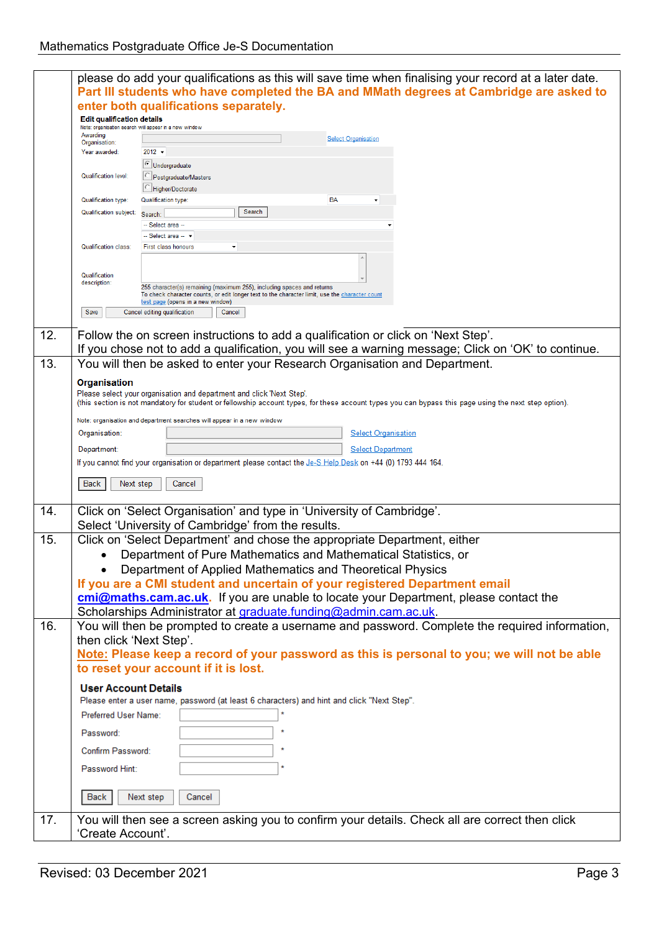|     |                                                                                         | please do add your qualifications as this will save time when finalising your record at a later date.                                                 |  |  |  |
|-----|-----------------------------------------------------------------------------------------|-------------------------------------------------------------------------------------------------------------------------------------------------------|--|--|--|
|     | Part III students who have completed the BA and MMath degrees at Cambridge are asked to |                                                                                                                                                       |  |  |  |
|     |                                                                                         | enter both qualifications separately.                                                                                                                 |  |  |  |
|     | <b>Edit qualification details</b>                                                       |                                                                                                                                                       |  |  |  |
|     | Awarding                                                                                | Note: organisation search will appear in a new window<br><b>Select Organisation</b>                                                                   |  |  |  |
|     | Organisation:                                                                           |                                                                                                                                                       |  |  |  |
|     | Year awarded:                                                                           | $2012 -$                                                                                                                                              |  |  |  |
|     | Qualification level:                                                                    | <b>C</b> Undergraduate<br>Postgraduate/Masters                                                                                                        |  |  |  |
|     |                                                                                         | Higher/Doctorate                                                                                                                                      |  |  |  |
|     | Qualification type:                                                                     | <b>BA</b><br>Qualification type:                                                                                                                      |  |  |  |
|     | Qualification subject:                                                                  | Search<br>Search:                                                                                                                                     |  |  |  |
|     |                                                                                         | -- Select area --                                                                                                                                     |  |  |  |
|     |                                                                                         | -- Select area -- v                                                                                                                                   |  |  |  |
|     | <b>Qualification class:</b>                                                             | First class honours                                                                                                                                   |  |  |  |
|     |                                                                                         |                                                                                                                                                       |  |  |  |
|     | Qualification                                                                           |                                                                                                                                                       |  |  |  |
|     | description:                                                                            | 255 character(s) remaining (maximum 255), including spaces and returns                                                                                |  |  |  |
|     |                                                                                         | To check character counts, or edit longer text to the character limit, use the character count<br>test page (opens in a new window)                   |  |  |  |
|     | Save                                                                                    | Cancel editing qualification<br>Cancel                                                                                                                |  |  |  |
|     |                                                                                         |                                                                                                                                                       |  |  |  |
| 12. |                                                                                         | Follow the on screen instructions to add a qualification or click on 'Next Step'.                                                                     |  |  |  |
|     |                                                                                         | If you chose not to add a qualification, you will see a warning message; Click on 'OK' to continue.                                                   |  |  |  |
| 13. |                                                                                         | You will then be asked to enter your Research Organisation and Department.                                                                            |  |  |  |
|     | Organisation                                                                            |                                                                                                                                                       |  |  |  |
|     |                                                                                         | Please select your organisation and department and click 'Next Step'.                                                                                 |  |  |  |
|     |                                                                                         | (this section is not mandatory for student or fellowship account types, for these account types you can bypass this page using the next step option). |  |  |  |
|     |                                                                                         | Note: organisation and department searches will appear in a new window                                                                                |  |  |  |
|     | Organisation:                                                                           | <b>Select Organisation</b>                                                                                                                            |  |  |  |
|     | Department:                                                                             | <b>Select Department</b>                                                                                                                              |  |  |  |
|     |                                                                                         | If you cannot find your organisation or department please contact the Je-S Help Desk on +44 (0) 1793 444 164.                                         |  |  |  |
|     |                                                                                         |                                                                                                                                                       |  |  |  |
|     | <b>Back</b><br>Next step                                                                | Cancel                                                                                                                                                |  |  |  |
|     |                                                                                         |                                                                                                                                                       |  |  |  |
| 14. |                                                                                         | Click on 'Select Organisation' and type in 'University of Cambridge'.                                                                                 |  |  |  |
|     |                                                                                         | Select 'University of Cambridge' from the results.                                                                                                    |  |  |  |
| 15. |                                                                                         | Click on 'Select Department' and chose the appropriate Department, either                                                                             |  |  |  |
|     | Department of Pure Mathematics and Mathematical Statistics, or                          |                                                                                                                                                       |  |  |  |
|     |                                                                                         | Department of Applied Mathematics and Theoretical Physics                                                                                             |  |  |  |
|     |                                                                                         | If you are a CMI student and uncertain of your registered Department email                                                                            |  |  |  |
|     | cmi@maths.cam.ac.uk. If you are unable to locate your Department, please contact the    |                                                                                                                                                       |  |  |  |
|     |                                                                                         | Scholarships Administrator at graduate.funding@admin.cam.ac.uk.                                                                                       |  |  |  |
| 16. |                                                                                         | You will then be prompted to create a username and password. Complete the required information,                                                       |  |  |  |
|     | then click 'Next Step'.                                                                 |                                                                                                                                                       |  |  |  |
|     |                                                                                         | Note: Please keep a record of your password as this is personal to you; we will not be able                                                           |  |  |  |
|     |                                                                                         | to reset your account if it is lost.                                                                                                                  |  |  |  |
|     |                                                                                         |                                                                                                                                                       |  |  |  |
|     | <b>User Account Details</b>                                                             |                                                                                                                                                       |  |  |  |
|     |                                                                                         | Please enter a user name, password (at least 6 characters) and hint and click "Next Step".                                                            |  |  |  |
|     | Preferred User Name:                                                                    |                                                                                                                                                       |  |  |  |
|     | Password:                                                                               |                                                                                                                                                       |  |  |  |
|     | Confirm Password:                                                                       |                                                                                                                                                       |  |  |  |
|     |                                                                                         |                                                                                                                                                       |  |  |  |
|     | Password Hint:                                                                          |                                                                                                                                                       |  |  |  |
|     |                                                                                         |                                                                                                                                                       |  |  |  |
|     | Back                                                                                    | Next step<br>Cancel                                                                                                                                   |  |  |  |
|     |                                                                                         |                                                                                                                                                       |  |  |  |
| 17. |                                                                                         | You will then see a screen asking you to confirm your details. Check all are correct then click                                                       |  |  |  |
|     | 'Create Account'.                                                                       |                                                                                                                                                       |  |  |  |